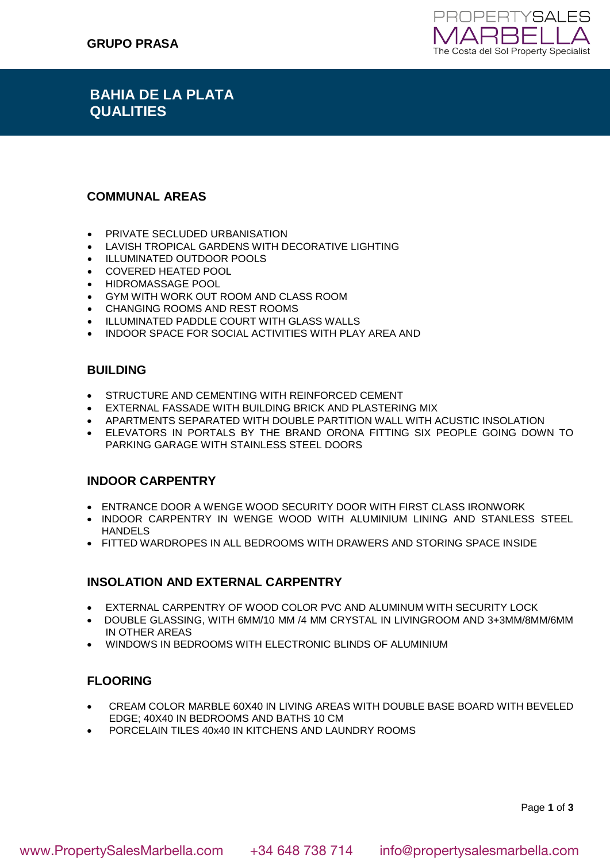

# **BAHIA DE LA PLATA QUALITIES**

### **COMMUNAL AREAS**

- PRIVATE SECLUDED URBANISATION
- LAVISH TROPICAL GARDENS WITH DECORATIVE LIGHTING
- ILLUMINATED OUTDOOR POOLS
- COVERED HEATED POOL
- HIDROMASSAGE POOL
- GYM WITH WORK OUT ROOM AND CLASS ROOM
- CHANGING ROOMS AND REST ROOMS
- ILLUMINATED PADDLE COURT WITH GLASS WALLS
- INDOOR SPACE FOR SOCIAL ACTIVITIES WITH PLAY AREA AND

#### **BUILDING**

- STRUCTURE AND CEMENTING WITH REINFORCED CEMENT
- EXTERNAL FASSADE WITH BUILDING BRICK AND PLASTERING MIX
- APARTMENTS SEPARATED WITH DOUBLE PARTITION WALL WITH ACUSTIC INSOLATION
- ELEVATORS IN PORTALS BY THE BRAND ORONA FITTING SIX PEOPLE GOING DOWN TO PARKING GARAGE WITH STAINLESS STEEL DOORS

### **INDOOR CARPENTRY**

- ENTRANCE DOOR A WENGE WOOD SECURITY DOOR WITH FIRST CLASS IRONWORK
- . INDOOR CARPENTRY IN WENGE WOOD WITH ALUMINIUM LINING AND STANLESS STEEL HANDELS
- **FITTED WARDROPES IN ALL BEDROOMS WITH DRAWERS AND STORING SPACE INSIDE**

### **INSOLATION AND EXTERNAL CARPENTRY**

- EXTERNAL CARPENTRY OF WOOD COLOR PVC AND ALUMINUM WITH SECURITY LOCK
- DOUBLE GLASSING, WITH 6MM/10 MM /4 MM CRYSTAL IN LIVINGROOM AND 3+3MM/8MM/6MM IN OTHER AREAS
- WINDOWS IN BEDROOMS WITH ELECTRONIC BLINDS OF ALUMINIUM

# **FLOORING**

- CREAM COLOR MARBLE 60X40 IN LIVING AREAS WITH DOUBLE BASE BOARD WITH BEVELED EDGE; 40X40 IN BEDROOMS AND BATHS 10 CM
- PORCELAIN TILES 40x40 IN KITCHENS AND LAUNDRY ROOMS

Page **1** of **3**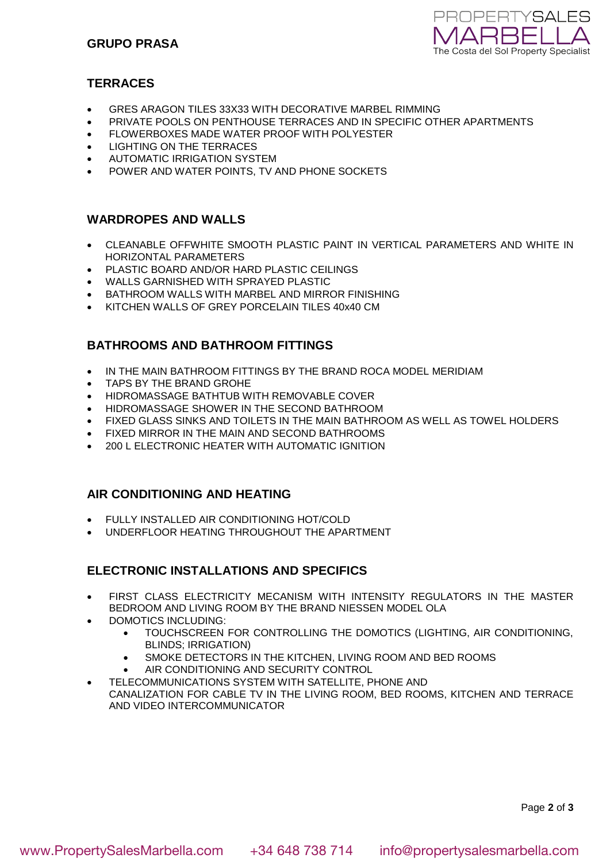

# **TERRACES**

- GRES ARAGON TILES 33X33 WITH DECORATIVE MARBEL RIMMING
- PRIVATE POOLS ON PENTHOUSE TERRACES AND IN SPECIFIC OTHER APARTMENTS
- FLOWERBOXES MADE WATER PROOF WITH POLYESTER
- LIGHTING ON THE TERRACES
- AUTOMATIC IRRIGATION SYSTEM
- POWER AND WATER POINTS, TV AND PHONE SOCKETS

### **WARDROPES AND WALLS**

- CLEANABLE OFFWHITE SMOOTH PLASTIC PAINT IN VERTICAL PARAMETERS AND WHITE IN HORIZONTAL PARAMETERS
- PLASTIC BOARD AND/OR HARD PLASTIC CEILINGS
- WALLS GARNISHED WITH SPRAYED PLASTIC
- BATHROOM WALLS WITH MARBEL AND MIRROR FINISHING
- KITCHEN WALLS OF GREY PORCELAIN TILES 40x40 CM

# **BATHROOMS AND BATHROOM FITTINGS**

- IN THE MAIN BATHROOM FITTINGS BY THE BRAND ROCA MODEL MERIDIAM
- TAPS BY THE BRAND GROHE
- HIDROMASSAGE BATHTUB WITH REMOVABLE COVER
- HIDROMASSAGE SHOWER IN THE SECOND BATHROOM
- FIXED GLASS SINKS AND TOILETS IN THE MAIN BATHROOM AS WELL AS TOWEL HOLDERS
- FIXED MIRROR IN THE MAIN AND SECOND BATHROOMS
- 200 L ELECTRONIC HEATER WITH AUTOMATIC IGNITION

### **AIR CONDITIONING AND HEATING**

- FULLY INSTALLED AIR CONDITIONING HOT/COLD
- UNDERFLOOR HEATING THROUGHOUT THE APARTMENT

# **ELECTRONIC INSTALLATIONS AND SPECIFICS**

- FIRST CLASS ELECTRICITY MECANISM WITH INTENSITY REGULATORS IN THE MASTER BEDROOM AND LIVING ROOM BY THE BRAND NIESSEN MODEL OLA
- DOMOTICS INCLUDING:
	- TOUCHSCREEN FOR CONTROLLING THE DOMOTICS (LIGHTING, AIR CONDITIONING, BLINDS; IRRIGATION)
	- SMOKE DETECTORS IN THE KITCHEN, LIVING ROOM AND BED ROOMS
	- AIR CONDITIONING AND SECURITY CONTROL
- TELECOMMUNICATIONS SYSTEM WITH SATELLITE, PHONE AND CANALIZATION FOR CABLE TV IN THE LIVING ROOM, BED ROOMS, KITCHEN AND TERRACE AND VIDEO INTERCOMMUNICATOR

Page **2** of **3**